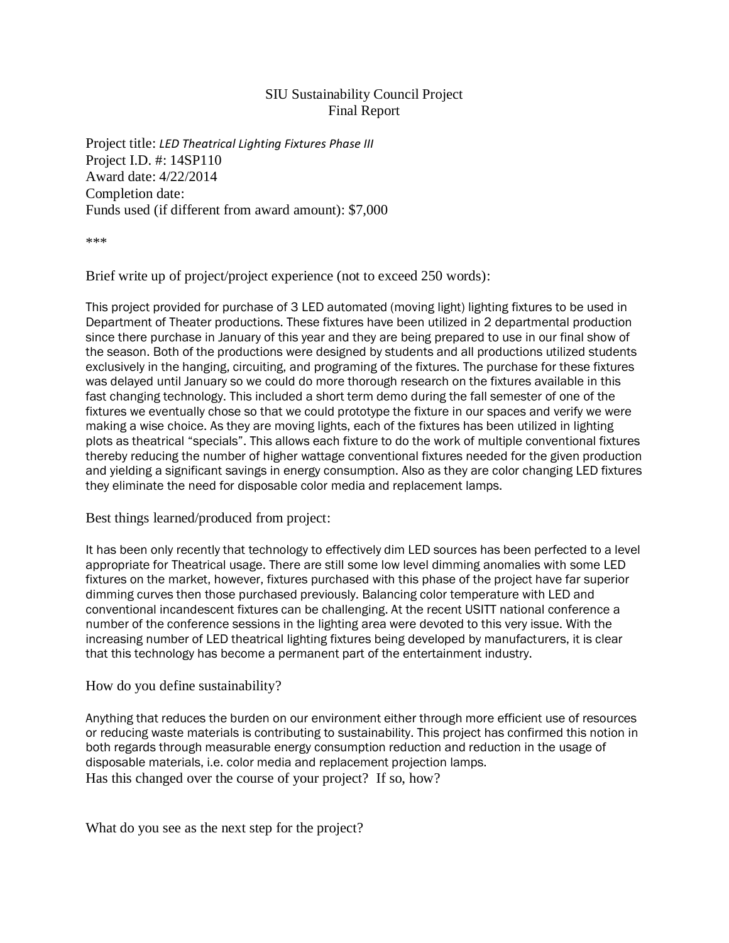## SIU Sustainability Council Project Final Report

Project title: *LED Theatrical Lighting Fixtures Phase III* Project I.D. #: 14SP110 Award date: 4/22/2014 Completion date: Funds used (if different from award amount): \$7,000

\*\*\*

Brief write up of project/project experience (not to exceed 250 words):

This project provided for purchase of 3 LED automated (moving light) lighting fixtures to be used in Department of Theater productions. These fixtures have been utilized in 2 departmental production since there purchase in January of this year and they are being prepared to use in our final show of the season. Both of the productions were designed by students and all productions utilized students exclusively in the hanging, circuiting, and programing of the fixtures. The purchase for these fixtures was delayed until January so we could do more thorough research on the fixtures available in this fast changing technology. This included a short term demo during the fall semester of one of the fixtures we eventually chose so that we could prototype the fixture in our spaces and verify we were making a wise choice. As they are moving lights, each of the fixtures has been utilized in lighting plots as theatrical "specials". This allows each fixture to do the work of multiple conventional fixtures thereby reducing the number of higher wattage conventional fixtures needed for the given production and yielding a significant savings in energy consumption. Also as they are color changing LED fixtures they eliminate the need for disposable color media and replacement lamps.

Best things learned/produced from project:

It has been only recently that technology to effectively dim LED sources has been perfected to a level appropriate for Theatrical usage. There are still some low level dimming anomalies with some LED fixtures on the market, however, fixtures purchased with this phase of the project have far superior dimming curves then those purchased previously. Balancing color temperature with LED and conventional incandescent fixtures can be challenging. At the recent USITT national conference a number of the conference sessions in the lighting area were devoted to this very issue. With the increasing number of LED theatrical lighting fixtures being developed by manufacturers, it is clear that this technology has become a permanent part of the entertainment industry.

How do you define sustainability?

Anything that reduces the burden on our environment either through more efficient use of resources or reducing waste materials is contributing to sustainability. This project has confirmed this notion in both regards through measurable energy consumption reduction and reduction in the usage of disposable materials, i.e. color media and replacement projection lamps. Has this changed over the course of your project? If so, how?

What do you see as the next step for the project?